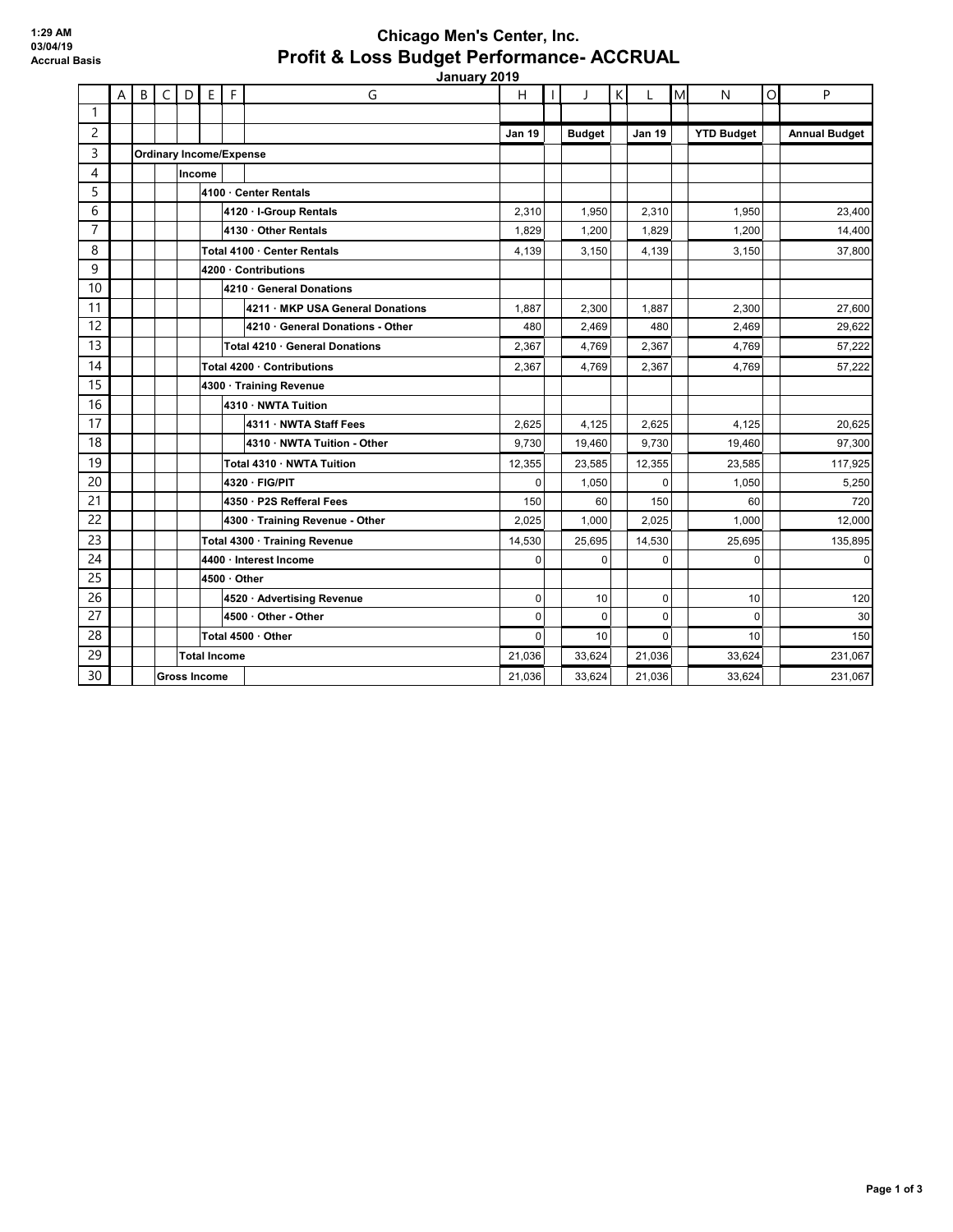## **Chicago Men's Center, Inc. Profit & Loss Budget Performance- ACCRUAL**

| January 2019    |              |   |              |        |                                |                     |                                  |               |  |               |   |               |   |                   |         |                      |
|-----------------|--------------|---|--------------|--------|--------------------------------|---------------------|----------------------------------|---------------|--|---------------|---|---------------|---|-------------------|---------|----------------------|
|                 | $\mathsf{A}$ | B | C            | D      | E                              | $\mathsf F$         | G                                | H             |  |               | K |               | M | N                 | $\circ$ | P                    |
| 1               |              |   |              |        |                                |                     |                                  |               |  |               |   |               |   |                   |         |                      |
| $\overline{c}$  |              |   |              |        |                                |                     |                                  | <b>Jan 19</b> |  | <b>Budget</b> |   | <b>Jan 19</b> |   | <b>YTD Budget</b> |         | <b>Annual Budget</b> |
| 3               |              |   |              |        | <b>Ordinary Income/Expense</b> |                     |                                  |               |  |               |   |               |   |                   |         |                      |
| 4               |              |   |              | Income |                                |                     |                                  |               |  |               |   |               |   |                   |         |                      |
| 5               |              |   |              |        |                                |                     | 4100 · Center Rentals            |               |  |               |   |               |   |                   |         |                      |
| 6               |              |   |              |        |                                |                     | 4120 · I-Group Rentals           | 2,310         |  | 1,950         |   | 2,310         |   | 1,950             |         | 23,400               |
| $\overline{7}$  |              |   |              |        |                                |                     | 4130 · Other Rentals             | 1,829         |  | 1,200         |   | 1,829         |   | 1,200             |         | 14,400               |
| 8               |              |   |              |        |                                |                     | Total 4100 · Center Rentals      | 4,139         |  | 3,150         |   | 4,139         |   | 3,150             |         | 37,800               |
| 9               |              |   |              |        |                                |                     | 4200 Contributions               |               |  |               |   |               |   |                   |         |                      |
| 10              |              |   |              |        |                                |                     | 4210 · General Donations         |               |  |               |   |               |   |                   |         |                      |
| 11              |              |   |              |        |                                |                     | 4211 · MKP USA General Donations | 1,887         |  | 2,300         |   | 1,887         |   | 2,300             |         | 27,600               |
| 12              |              |   |              |        |                                |                     | 4210 · General Donations - Other | 480           |  | 2,469         |   | 480           |   | 2.469             |         | 29,622               |
| 13              |              |   |              |        |                                |                     | Total 4210 · General Donations   | 2,367         |  | 4,769         |   | 2,367         |   | 4.769             |         | 57,222               |
| 14              |              |   |              |        |                                |                     | Total 4200 · Contributions       | 2,367         |  | 4,769         |   | 2,367         |   | 4,769             |         | 57,222               |
| 15              |              |   |              |        |                                |                     | 4300 · Training Revenue          |               |  |               |   |               |   |                   |         |                      |
| 16              |              |   |              |        |                                |                     | 4310 · NWTA Tuition              |               |  |               |   |               |   |                   |         |                      |
| 17              |              |   |              |        |                                |                     | 4311 · NWTA Staff Fees           | 2.625         |  | 4,125         |   | 2.625         |   | 4,125             |         | 20,625               |
| 18              |              |   |              |        |                                |                     | 4310 · NWTA Tuition - Other      | 9,730         |  | 19,460        |   | 9,730         |   | 19,460            |         | 97,300               |
| 19              |              |   |              |        |                                |                     | Total 4310 · NWTA Tuition        | 12,355        |  | 23,585        |   | 12,355        |   | 23,585            |         | 117,925              |
| 20              |              |   |              |        |                                |                     | 4320 · FIG/PIT                   | 0             |  | 1,050         |   | $\Omega$      |   | 1,050             |         | 5,250                |
| 21              |              |   |              |        |                                |                     | 4350 · P2S Refferal Fees         | 150           |  | 60            |   | 150           |   | 60                |         | 720                  |
| 22              |              |   |              |        |                                |                     | 4300 · Training Revenue - Other  | 2,025         |  | 1,000         |   | 2,025         |   | 1,000             |         | 12,000               |
| 23              |              |   |              |        |                                |                     | Total 4300 · Training Revenue    | 14,530        |  | 25,695        |   | 14,530        |   | 25,695            |         | 135,895              |
| 24              |              |   |              |        |                                |                     | 4400 · Interest Income           | $\Omega$      |  | $\mathbf{0}$  |   | $\mathbf{0}$  |   | $\mathbf 0$       |         | $\pmb{0}$            |
| 25              |              |   |              |        |                                | $4500 \cdot$ Other  |                                  |               |  |               |   |               |   |                   |         |                      |
| 26              |              |   |              |        |                                |                     | 4520 Advertising Revenue         | 0             |  | 10            |   | $\mathbf 0$   |   | 10                |         | 120                  |
| 27              |              |   |              |        |                                |                     | 4500 · Other - Other             | $\Omega$      |  | $\mathbf{0}$  |   | $\Omega$      |   | $\Omega$          |         | 30                   |
| 28              |              |   |              |        |                                |                     | Total 4500 · Other               | $\Omega$      |  | 10            |   | $\Omega$      |   | 10                |         | 150                  |
| $\overline{29}$ |              |   |              |        |                                | <b>Total Income</b> |                                  | 21,036        |  | 33,624        |   | 21,036        |   | 33,624            |         | 231,067              |
| 30              |              |   | Gross Income |        |                                |                     |                                  |               |  | 33,624        |   | 21,036        |   | 33,624            |         | 231,067              |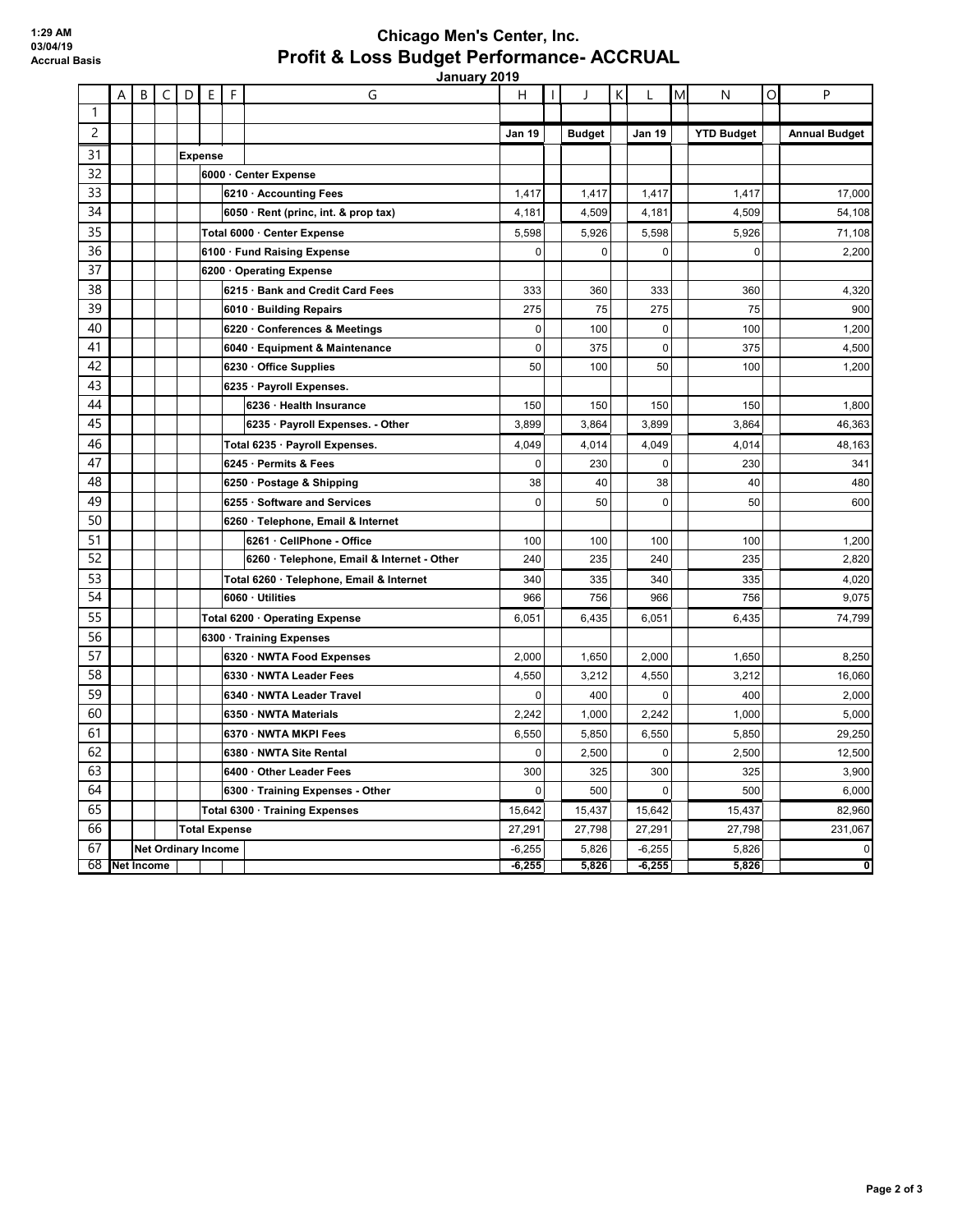## **Chicago Men's Center, Inc. Profit & Loss Budget Performance- ACCRUAL**

|    | <u>January 2019</u>        |   |                             |                |   |                                |                                            |               |       |               |          |               |       |                   |             |                      |
|----|----------------------------|---|-----------------------------|----------------|---|--------------------------------|--------------------------------------------|---------------|-------|---------------|----------|---------------|-------|-------------------|-------------|----------------------|
|    | A                          | B | C                           | D              | E | F                              | G                                          | н             |       |               | K        | L             | M     | N                 | O           | P                    |
| 1  |                            |   |                             |                |   |                                |                                            |               |       |               |          |               |       |                   |             |                      |
| 2  |                            |   |                             |                |   |                                |                                            | <b>Jan 19</b> |       | <b>Budget</b> |          | <b>Jan 19</b> |       | <b>YTD Budget</b> |             | <b>Annual Budget</b> |
| 31 |                            |   |                             | <b>Expense</b> |   |                                |                                            |               |       |               |          |               |       |                   |             |                      |
| 32 |                            |   |                             |                |   |                                | 6000 · Center Expense                      |               |       |               |          |               |       |                   |             |                      |
| 33 |                            |   |                             |                |   |                                | 6210 · Accounting Fees                     | 1,417         |       | 1,417         |          | 1,417         |       | 1,417             |             | 17,000               |
| 34 |                            |   |                             |                |   |                                | 6050 · Rent (princ, int. & prop tax)       | 4,181         |       | 4,509         |          | 4,181         |       | 4,509             |             | 54,108               |
| 35 |                            |   | Total 6000 · Center Expense |                |   |                                |                                            |               |       | 5,926         |          | 5,598         |       | 5,926             |             | 71,108               |
| 36 |                            |   | 6100 · Fund Raising Expense |                |   |                                |                                            |               |       | 0             |          | 0             |       | 0                 |             | 2,200                |
| 37 |                            |   |                             |                |   |                                | 6200 Operating Expense                     |               |       |               |          |               |       |                   |             |                      |
| 38 |                            |   |                             |                |   |                                | 6215 · Bank and Credit Card Fees           | 333           |       | 360           |          | 333           |       | 360               |             | 4,320                |
| 39 |                            |   |                             |                |   |                                | 6010 · Building Repairs                    | 275           |       | 75            |          | 275           |       | 75                |             | 900                  |
| 40 |                            |   |                             |                |   |                                | 6220 Conferences & Meetings                | $\mathbf 0$   |       | 100           |          | $\mathbf 0$   |       | 100               |             | 1,200                |
| 41 |                            |   |                             |                |   |                                | 6040 · Equipment & Maintenance             | 0             |       | 375           |          | 0             |       | 375               |             | 4,500                |
| 42 |                            |   |                             |                |   |                                | 6230 Office Supplies                       | 50            |       | 100           |          | 50            |       | 100               |             | 1,200                |
| 43 |                            |   |                             |                |   |                                | 6235 · Payroll Expenses.                   |               |       |               |          |               |       |                   |             |                      |
| 44 |                            |   |                             |                |   |                                | 6236 · Health Insurance                    | 150           |       | 150           |          | 150           |       | 150               |             | 1,800                |
| 45 |                            |   |                             |                |   |                                | 6235 · Payroll Expenses. - Other           | 3,899         |       | 3,864         |          | 3,899         |       | 3,864             |             | 46,363               |
| 46 |                            |   |                             |                |   |                                | Total 6235 · Payroll Expenses.             | 4,049         |       | 4,014         |          | 4,049         |       | 4,014             |             | 48,163               |
| 47 |                            |   |                             |                |   |                                | 6245 · Permits & Fees                      | $\mathbf 0$   |       | 230           |          | 0             |       | 230               |             | 341                  |
| 48 |                            |   |                             |                |   |                                | 6250 · Postage & Shipping                  | 38            |       | 40            |          | 38            |       | 40                |             | 480                  |
| 49 |                            |   |                             |                |   |                                | 6255 Software and Services                 | $\mathbf 0$   |       | 50            |          | $\mathbf 0$   |       | 50                |             | 600                  |
| 50 |                            |   |                             |                |   |                                | 6260 · Telephone, Email & Internet         |               |       |               |          |               |       |                   |             |                      |
| 51 |                            |   |                             |                |   |                                | 6261 · CellPhone - Office                  | 100           |       | 100           |          | 100           |       | 100               |             | 1,200                |
| 52 |                            |   |                             |                |   |                                | 6260 · Telephone, Email & Internet - Other | 240           |       | 235           |          | 240           |       | 235               |             | 2,820                |
| 53 |                            |   |                             |                |   |                                | Total 6260 · Telephone, Email & Internet   | 340           |       | 335           |          | 340           |       | 335               |             | 4,020                |
| 54 |                            |   |                             |                |   |                                | 6060 Utilities                             | 966           |       | 756           |          | 966           |       | 756               |             | 9,075                |
| 55 |                            |   |                             |                |   | Total 6200 · Operating Expense | 6.051                                      |               | 6.435 |               | 6,051    |               | 6.435 |                   | 74,799      |                      |
| 56 |                            |   |                             |                |   |                                | 6300 · Training Expenses                   |               |       |               |          |               |       |                   |             |                      |
| 57 |                            |   |                             |                |   |                                | 6320 NWTA Food Expenses                    | 2,000         |       | 1,650         |          | 2,000         |       | 1,650             |             | 8,250                |
| 58 |                            |   |                             |                |   |                                | 6330 NWTA Leader Fees                      | 4,550         |       | 3,212         |          | 4,550         |       | 3,212             |             | 16,060               |
| 59 |                            |   |                             |                |   |                                | 6340 · NWTA Leader Travel                  | $\mathbf 0$   |       | 400           |          | $\mathbf{0}$  |       | 400               |             | 2,000                |
| 60 |                            |   |                             |                |   |                                | 6350 · NWTA Materials                      | 2,242         |       | 1,000         |          | 2,242         |       | 1,000             |             | 5,000                |
| 61 |                            |   |                             |                |   |                                | 6370 · NWTA MKPI Fees                      | 6,550         |       | 5,850         |          | 6,550         |       | 5,850             |             | 29,250               |
| 62 |                            |   |                             |                |   |                                | 6380 · NWTA Site Rental                    | 0             |       | 2,500         |          | 0             |       | 2,500             |             | 12,500               |
| 63 |                            |   |                             |                |   |                                | 6400 · Other Leader Fees                   | 300           |       | 325           |          | 300           |       | 325               |             | 3,900                |
| 64 |                            |   |                             |                |   |                                | 6300 · Training Expenses - Other           | $\Omega$      |       | 500           |          | $\Omega$      |       | 500               |             | 6,000                |
| 65 |                            |   |                             |                |   |                                | Total 6300 · Training Expenses             | 15,642        |       | 15,437        |          | 15,642        |       | 15,437            |             | 82,960               |
| 66 |                            |   | <b>Total Expense</b>        |                |   |                                |                                            |               |       | 27,798        |          | 27,291        |       | 27,798            |             | 231,067              |
| 67 | <b>Net Ordinary Income</b> |   |                             |                |   |                                | $-6,255$                                   |               | 5,826 |               | $-6,255$ |               | 5,826 |                   | $\mathbf 0$ |                      |
| 68 | <b>Net Income</b>          |   |                             |                |   |                                |                                            | $-6,255$      |       | 5,826         |          | -6,255        |       | 5,826             |             | O                    |